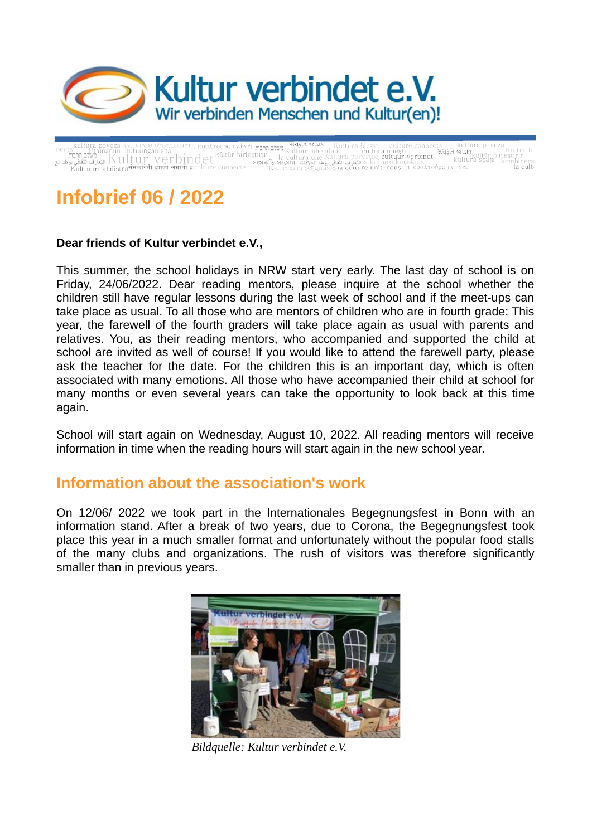

atility of the probability of the probability of the connects and turn poveza<br>a culture uneste culture uneste culture and turn of the probability of the sulture of the set of the probabili<br>Thindet and turn une of the set rs — Utamaduni hutuunganisha<br>משלב ממשל Kultur verbindet ini siyas<br>سندن النقائي لالتعارف الثقافي يو المالكات التعارف الثقافي يو المالكات التي يوم التي يوم الثقافي يو<br>Kulttuuri vhdistääषंसकरिती हमको लगाती ह

# **Infobrief 06 / 2022**

#### **Dear friends of Kultur verbindet e.V.,**

This summer, the school holidays in NRW start very early. The last day of school is on Friday, 24/06/2022. Dear reading mentors, please inquire at the school whether the children still have regular lessons during the last week of school and if the meet-ups can take place as usual. To all those who are mentors of children who are in fourth grade: This year, the farewell of the fourth graders will take place again as usual with parents and relatives. You, as their reading mentors, who accompanied and supported the child at school are invited as well of course! If you would like to attend the farewell party, please ask the teacher for the date. For the children this is an important day, which is often associated with many emotions. All those who have accompanied their child at school for many months or even several years can take the opportunity to look back at this time again.

School will start again on Wednesday, August 10, 2022. All reading mentors will receive information in time when the reading hours will start again in the new school year.

## **Information about the association's work**

On 12/06/ 2022 we took part in the lnternationales Begegnungsfest in Bonn with an information stand. After a break of two years, due to Corona, the Begegnungsfest took place this year in a much smaller format and unfortunately without the popular food stalls of the many clubs and organizations. The rush of visitors was therefore significantly smaller than in previous years.



*Bildquelle: Kultur verbindet e.V.*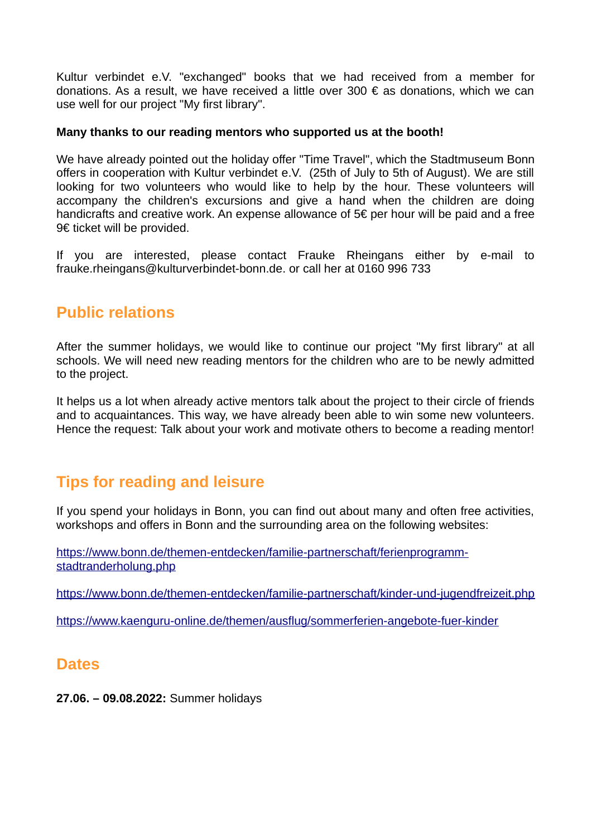Kultur verbindet e.V. "exchanged" books that we had received from a member for donations. As a result, we have received a little over 300  $\epsilon$  as donations, which we can use well for our project "My first library".

#### **Many thanks to our reading mentors who supported us at the booth!**

We have already pointed out the holiday offer "Time Travel", which the Stadtmuseum Bonn offers in cooperation with Kultur verbindet e.V. (25th of July to 5th of August). We are still looking for two volunteers who would like to help by the hour. These volunteers will accompany the children's excursions and give a hand when the children are doing handicrafts and creative work. An expense allowance of 5€ per hour will be paid and a free 9€ ticket will be provided.

If you are interested, please contact Frauke Rheingans either by e-mail to frauke.rheingans@kulturverbindet-bonn.de. or call her at 0160 996 733

# **Public relations**

After the summer holidays, we would like to continue our project "My first library" at all schools. We will need new reading mentors for the children who are to be newly admitted to the project.

It helps us a lot when already active mentors talk about the project to their circle of friends and to acquaintances. This way, we have already been able to win some new volunteers. Hence the request: Talk about your work and motivate others to become a reading mentor!

# **Tips for reading and leisure**

If you spend your holidays in Bonn, you can find out about many and often free activities, workshops and offers in Bonn and the surrounding area on the following websites:

[https://www.bonn.de/themen-entdecken/familie-partnerschaft/ferienprogramm](https://www.bonn.de/themen-entdecken/familie-partnerschaft/ferienprogramm-stadtranderholung.php)[stadtranderholung.php](https://www.bonn.de/themen-entdecken/familie-partnerschaft/ferienprogramm-stadtranderholung.php)

<https://www.bonn.de/themen-entdecken/familie-partnerschaft/kinder-und-jugendfreizeit.php>

<https://www.kaenguru-online.de/themen/ausflug/sommerferien-angebote-fuer-kinder>

### **Dates**

**27.06. – 09.08.2022:** Summer holidays